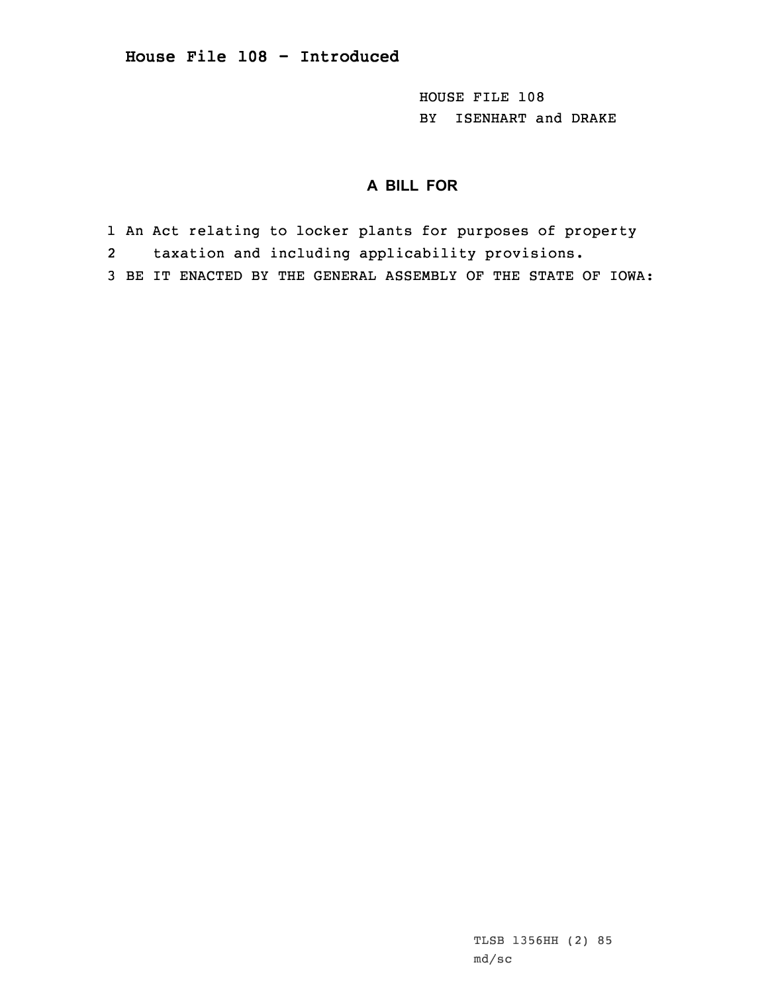HOUSE FILE 108 BY ISENHART and DRAKE

## **A BILL FOR**

- 1 An Act relating to locker plants for purposes of property
- 2taxation and including applicability provisions.
- 3 BE IT ENACTED BY THE GENERAL ASSEMBLY OF THE STATE OF IOWA: